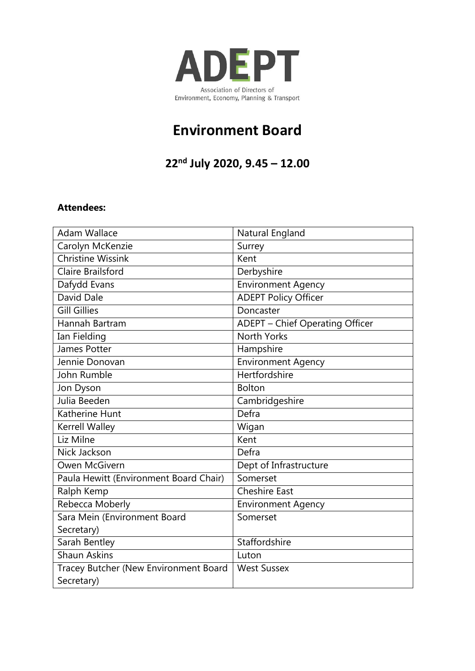

## **Environment Board**

**22 nd July 2020, 9.45 – 12.00**

## **Attendees:**

| <b>Adam Wallace</b>                    | Natural England                        |
|----------------------------------------|----------------------------------------|
| Carolyn McKenzie                       | Surrey                                 |
| <b>Christine Wissink</b>               | Kent                                   |
| Claire Brailsford                      | Derbyshire                             |
| Dafydd Evans                           | <b>Environment Agency</b>              |
| David Dale                             | <b>ADEPT Policy Officer</b>            |
| <b>Gill Gillies</b>                    | Doncaster                              |
| Hannah Bartram                         | <b>ADEPT - Chief Operating Officer</b> |
| Ian Fielding                           | <b>North Yorks</b>                     |
| James Potter                           | Hampshire                              |
| Jennie Donovan                         | <b>Environment Agency</b>              |
| John Rumble                            | <b>Hertfordshire</b>                   |
| Jon Dyson                              | <b>Bolton</b>                          |
| Julia Beeden                           | Cambridgeshire                         |
| Katherine Hunt                         | Defra                                  |
| Kerrell Walley                         | Wigan                                  |
| Liz Milne                              | Kent                                   |
| Nick Jackson                           | Defra                                  |
| Owen McGivern                          | Dept of Infrastructure                 |
| Paula Hewitt (Environment Board Chair) | Somerset                               |
| Ralph Kemp                             | <b>Cheshire East</b>                   |
| Rebecca Moberly                        | <b>Environment Agency</b>              |
| Sara Mein (Environment Board           | Somerset                               |
| Secretary)                             |                                        |
| Sarah Bentley                          | Staffordshire                          |
| <b>Shaun Askins</b>                    | Luton                                  |
| Tracey Butcher (New Environment Board  | <b>West Sussex</b>                     |
| Secretary)                             |                                        |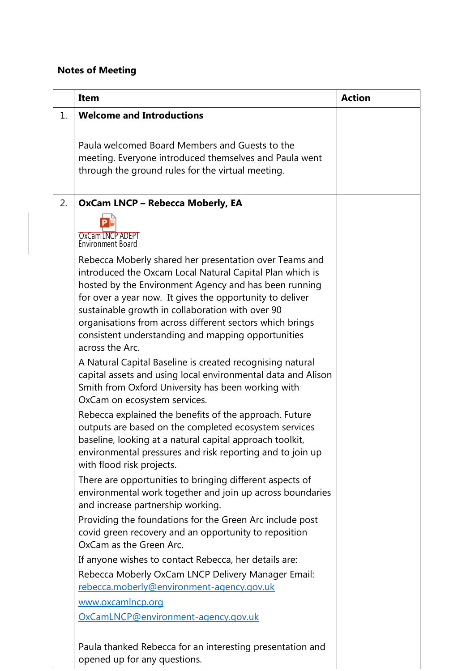## **Notes of Meeting**

|    | <b>Item</b>                                                                                                                                                                                                                                                                                                                                                                                                                      | <b>Action</b> |
|----|----------------------------------------------------------------------------------------------------------------------------------------------------------------------------------------------------------------------------------------------------------------------------------------------------------------------------------------------------------------------------------------------------------------------------------|---------------|
| 1. | <b>Welcome and Introductions</b>                                                                                                                                                                                                                                                                                                                                                                                                 |               |
|    | Paula welcomed Board Members and Guests to the<br>meeting. Everyone introduced themselves and Paula went<br>through the ground rules for the virtual meeting.                                                                                                                                                                                                                                                                    |               |
| 2. | <b>OxCam LNCP - Rebecca Moberly, EA</b>                                                                                                                                                                                                                                                                                                                                                                                          |               |
|    | OxCam LNCP ADEPT<br>Environment Board                                                                                                                                                                                                                                                                                                                                                                                            |               |
|    | Rebecca Moberly shared her presentation over Teams and<br>introduced the Oxcam Local Natural Capital Plan which is<br>hosted by the Environment Agency and has been running<br>for over a year now. It gives the opportunity to deliver<br>sustainable growth in collaboration with over 90<br>organisations from across different sectors which brings<br>consistent understanding and mapping opportunities<br>across the Arc. |               |
|    | A Natural Capital Baseline is created recognising natural<br>capital assets and using local environmental data and Alison<br>Smith from Oxford University has been working with<br>OxCam on ecosystem services.                                                                                                                                                                                                                  |               |
|    | Rebecca explained the benefits of the approach. Future<br>outputs are based on the completed ecosystem services<br>baseline, looking at a natural capital approach toolkit,<br>environmental pressures and risk reporting and to join up<br>with flood risk projects.                                                                                                                                                            |               |
|    | There are opportunities to bringing different aspects of<br>environmental work together and join up across boundaries<br>and increase partnership working.                                                                                                                                                                                                                                                                       |               |
|    | Providing the foundations for the Green Arc include post<br>covid green recovery and an opportunity to reposition<br>OxCam as the Green Arc.                                                                                                                                                                                                                                                                                     |               |
|    | If anyone wishes to contact Rebecca, her details are:                                                                                                                                                                                                                                                                                                                                                                            |               |
|    | Rebecca Moberly OxCam LNCP Delivery Manager Email:<br>rebecca.moberly@environment-agency.gov.uk                                                                                                                                                                                                                                                                                                                                  |               |
|    | www.oxcamlncp.org                                                                                                                                                                                                                                                                                                                                                                                                                |               |
|    | OxCamLNCP@environment-agency.gov.uk                                                                                                                                                                                                                                                                                                                                                                                              |               |
|    | Paula thanked Rebecca for an interesting presentation and<br>opened up for any questions.                                                                                                                                                                                                                                                                                                                                        |               |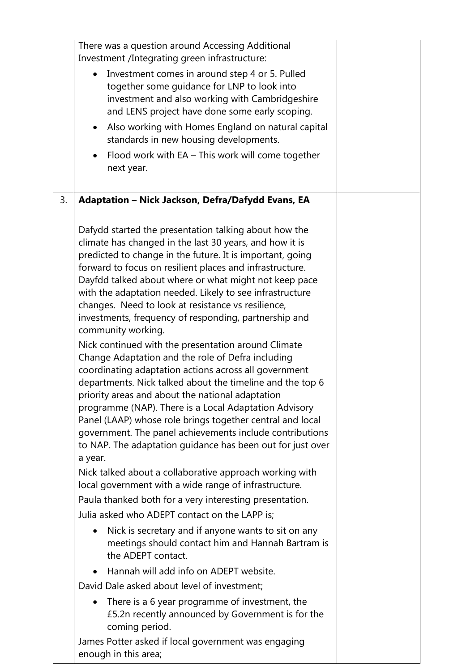|    | There was a question around Accessing Additional<br>Investment /Integrating green infrastructure:<br>Investment comes in around step 4 or 5. Pulled<br>together some guidance for LNP to look into<br>investment and also working with Cambridgeshire<br>and LENS project have done some early scoping.<br>Also working with Homes England on natural capital<br>$\bullet$<br>standards in new housing developments.<br>Flood work with EA - This work will come together<br>$\bullet$<br>next year.                                                                                                                                                                                                                                                                                                                                                                                                                                                                                                                                                 |  |
|----|------------------------------------------------------------------------------------------------------------------------------------------------------------------------------------------------------------------------------------------------------------------------------------------------------------------------------------------------------------------------------------------------------------------------------------------------------------------------------------------------------------------------------------------------------------------------------------------------------------------------------------------------------------------------------------------------------------------------------------------------------------------------------------------------------------------------------------------------------------------------------------------------------------------------------------------------------------------------------------------------------------------------------------------------------|--|
| 3. | Adaptation - Nick Jackson, Defra/Dafydd Evans, EA                                                                                                                                                                                                                                                                                                                                                                                                                                                                                                                                                                                                                                                                                                                                                                                                                                                                                                                                                                                                    |  |
|    | Dafydd started the presentation talking about how the<br>climate has changed in the last 30 years, and how it is<br>predicted to change in the future. It is important, going<br>forward to focus on resilient places and infrastructure.<br>Dayfdd talked about where or what might not keep pace<br>with the adaptation needed. Likely to see infrastructure<br>changes. Need to look at resistance vs resilience,<br>investments, frequency of responding, partnership and<br>community working.<br>Nick continued with the presentation around Climate<br>Change Adaptation and the role of Defra including<br>coordinating adaptation actions across all government<br>departments. Nick talked about the timeline and the top 6<br>priority areas and about the national adaptation<br>programme (NAP). There is a Local Adaptation Advisory<br>Panel (LAAP) whose role brings together central and local<br>government. The panel achievements include contributions<br>to NAP. The adaptation guidance has been out for just over<br>a year. |  |
|    | Nick talked about a collaborative approach working with<br>local government with a wide range of infrastructure.                                                                                                                                                                                                                                                                                                                                                                                                                                                                                                                                                                                                                                                                                                                                                                                                                                                                                                                                     |  |
|    | Paula thanked both for a very interesting presentation.                                                                                                                                                                                                                                                                                                                                                                                                                                                                                                                                                                                                                                                                                                                                                                                                                                                                                                                                                                                              |  |
|    | Julia asked who ADEPT contact on the LAPP is;                                                                                                                                                                                                                                                                                                                                                                                                                                                                                                                                                                                                                                                                                                                                                                                                                                                                                                                                                                                                        |  |
|    | Nick is secretary and if anyone wants to sit on any<br>٠<br>meetings should contact him and Hannah Bartram is<br>the ADEPT contact.                                                                                                                                                                                                                                                                                                                                                                                                                                                                                                                                                                                                                                                                                                                                                                                                                                                                                                                  |  |
|    | Hannah will add info on ADEPT website.<br>$\bullet$                                                                                                                                                                                                                                                                                                                                                                                                                                                                                                                                                                                                                                                                                                                                                                                                                                                                                                                                                                                                  |  |
|    | David Dale asked about level of investment;                                                                                                                                                                                                                                                                                                                                                                                                                                                                                                                                                                                                                                                                                                                                                                                                                                                                                                                                                                                                          |  |
|    | There is a 6 year programme of investment, the<br>£5.2n recently announced by Government is for the<br>coming period.                                                                                                                                                                                                                                                                                                                                                                                                                                                                                                                                                                                                                                                                                                                                                                                                                                                                                                                                |  |
|    | James Potter asked if local government was engaging<br>enough in this area;                                                                                                                                                                                                                                                                                                                                                                                                                                                                                                                                                                                                                                                                                                                                                                                                                                                                                                                                                                          |  |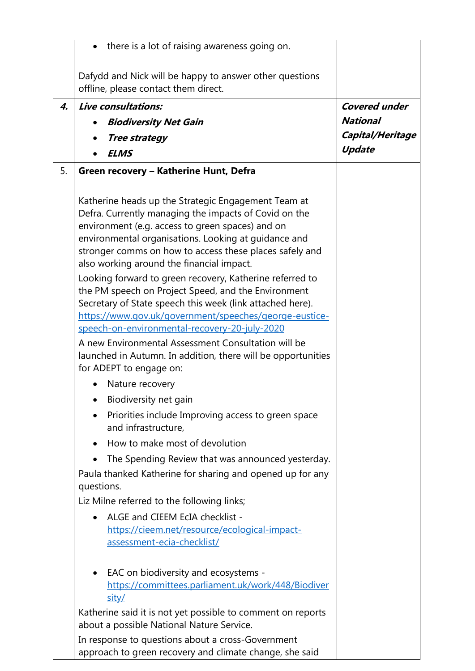|    | there is a lot of raising awareness going on.                                                                                                                                                                                                                                                                                    |                      |
|----|----------------------------------------------------------------------------------------------------------------------------------------------------------------------------------------------------------------------------------------------------------------------------------------------------------------------------------|----------------------|
|    | Dafydd and Nick will be happy to answer other questions<br>offline, please contact them direct.                                                                                                                                                                                                                                  |                      |
| 4. | Live consultations:                                                                                                                                                                                                                                                                                                              | <b>Covered under</b> |
|    | <b>Biodiversity Net Gain</b>                                                                                                                                                                                                                                                                                                     | <b>National</b>      |
|    | <b>Tree strategy</b>                                                                                                                                                                                                                                                                                                             | Capital/Heritage     |
|    | <b>ELMS</b>                                                                                                                                                                                                                                                                                                                      | <b>Update</b>        |
| 5. | Green recovery - Katherine Hunt, Defra                                                                                                                                                                                                                                                                                           |                      |
|    | Katherine heads up the Strategic Engagement Team at<br>Defra. Currently managing the impacts of Covid on the<br>environment (e.g. access to green spaces) and on<br>environmental organisations. Looking at guidance and<br>stronger comms on how to access these places safely and<br>also working around the financial impact. |                      |
|    | Looking forward to green recovery, Katherine referred to<br>the PM speech on Project Speed, and the Environment<br>Secretary of State speech this week (link attached here).<br>https://www.gov.uk/government/speeches/george-eustice-<br>speech-on-environmental-recovery-20-july-2020                                          |                      |
|    | A new Environmental Assessment Consultation will be<br>launched in Autumn. In addition, there will be opportunities<br>for ADEPT to engage on:                                                                                                                                                                                   |                      |
|    | Nature recovery                                                                                                                                                                                                                                                                                                                  |                      |
|    | Biodiversity net gain                                                                                                                                                                                                                                                                                                            |                      |
|    | Priorities include Improving access to green space<br>and infrastructure,                                                                                                                                                                                                                                                        |                      |
|    | How to make most of devolution                                                                                                                                                                                                                                                                                                   |                      |
|    | The Spending Review that was announced yesterday.                                                                                                                                                                                                                                                                                |                      |
|    | Paula thanked Katherine for sharing and opened up for any<br>questions.                                                                                                                                                                                                                                                          |                      |
|    | Liz Milne referred to the following links;                                                                                                                                                                                                                                                                                       |                      |
|    | ALGE and CIEEM EcIA checklist -<br>https://cieem.net/resource/ecological-impact-<br>assessment-ecia-checklist/                                                                                                                                                                                                                   |                      |
|    | EAC on biodiversity and ecosystems -<br>https://committees.parliament.uk/work/448/Biodiver<br>sity/                                                                                                                                                                                                                              |                      |
|    | Katherine said it is not yet possible to comment on reports<br>about a possible National Nature Service.                                                                                                                                                                                                                         |                      |
|    | In response to questions about a cross-Government                                                                                                                                                                                                                                                                                |                      |

approach to green recovery and climate change, she said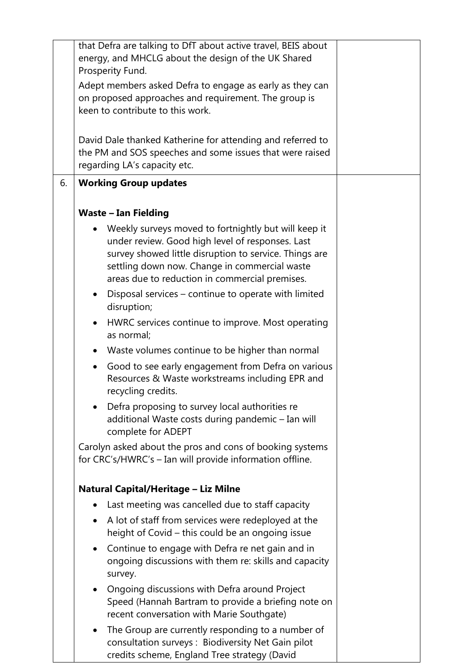|    | that Defra are talking to DfT about active travel, BEIS about<br>energy, and MHCLG about the design of the UK Shared                                                                                                                                                  |  |
|----|-----------------------------------------------------------------------------------------------------------------------------------------------------------------------------------------------------------------------------------------------------------------------|--|
|    | Prosperity Fund.                                                                                                                                                                                                                                                      |  |
|    | Adept members asked Defra to engage as early as they can                                                                                                                                                                                                              |  |
|    | on proposed approaches and requirement. The group is                                                                                                                                                                                                                  |  |
|    | keen to contribute to this work.                                                                                                                                                                                                                                      |  |
|    | David Dale thanked Katherine for attending and referred to<br>the PM and SOS speeches and some issues that were raised<br>regarding LA's capacity etc.                                                                                                                |  |
| 6. | <b>Working Group updates</b>                                                                                                                                                                                                                                          |  |
|    | <b>Waste - Ian Fielding</b>                                                                                                                                                                                                                                           |  |
|    | Weekly surveys moved to fortnightly but will keep it<br>under review. Good high level of responses. Last<br>survey showed little disruption to service. Things are<br>settling down now. Change in commercial waste<br>areas due to reduction in commercial premises. |  |
|    | Disposal services - continue to operate with limited<br>$\bullet$<br>disruption;                                                                                                                                                                                      |  |
|    | HWRC services continue to improve. Most operating<br>$\bullet$<br>as normal;                                                                                                                                                                                          |  |
|    | Waste volumes continue to be higher than normal<br>$\bullet$                                                                                                                                                                                                          |  |
|    | Good to see early engagement from Defra on various<br>$\bullet$<br>Resources & Waste workstreams including EPR and<br>recycling credits.                                                                                                                              |  |
|    | Defra proposing to survey local authorities re<br>additional Waste costs during pandemic - Ian will<br>complete for ADEPT                                                                                                                                             |  |
|    | Carolyn asked about the pros and cons of booking systems<br>for CRC's/HWRC's - Ian will provide information offline.                                                                                                                                                  |  |
|    | Natural Capital/Heritage - Liz Milne                                                                                                                                                                                                                                  |  |
|    | Last meeting was cancelled due to staff capacity                                                                                                                                                                                                                      |  |
|    | A lot of staff from services were redeployed at the<br>$\bullet$<br>height of Covid – this could be an ongoing issue                                                                                                                                                  |  |
|    | Continue to engage with Defra re net gain and in<br>$\bullet$<br>ongoing discussions with them re: skills and capacity<br>survey.                                                                                                                                     |  |
|    | Ongoing discussions with Defra around Project<br>$\bullet$<br>Speed (Hannah Bartram to provide a briefing note on<br>recent conversation with Marie Southgate)                                                                                                        |  |
|    | The Group are currently responding to a number of<br>$\bullet$<br>consultation surveys: Biodiversity Net Gain pilot<br>credits scheme, England Tree strategy (David                                                                                                   |  |

 $\overline{\phantom{a}}$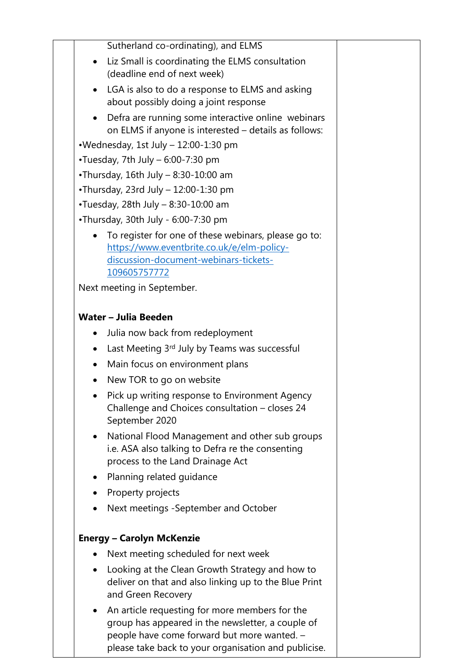| Sutherland co-ordinating), and ELMS                                                                                                                                                                        |  |
|------------------------------------------------------------------------------------------------------------------------------------------------------------------------------------------------------------|--|
| Liz Small is coordinating the ELMS consultation<br>(deadline end of next week)                                                                                                                             |  |
| LGA is also to do a response to ELMS and asking<br>about possibly doing a joint response                                                                                                                   |  |
| Defra are running some interactive online webinars<br>on ELMS if anyone is interested - details as follows:                                                                                                |  |
| •Wednesday, 1st July - 12:00-1:30 pm                                                                                                                                                                       |  |
| •Tuesday, 7th July - 6:00-7:30 pm                                                                                                                                                                          |  |
| •Thursday, 16th July - 8:30-10:00 am                                                                                                                                                                       |  |
| •Thursday, 23rd July - 12:00-1:30 pm                                                                                                                                                                       |  |
| •Tuesday, 28th July - 8:30-10:00 am                                                                                                                                                                        |  |
| •Thursday, 30th July - 6:00-7:30 pm                                                                                                                                                                        |  |
| To register for one of these webinars, please go to:<br>https://www.eventbrite.co.uk/e/elm-policy-<br>discussion-document-webinars-tickets-<br>109605757772                                                |  |
| Next meeting in September.                                                                                                                                                                                 |  |
|                                                                                                                                                                                                            |  |
| Water - Julia Beeden                                                                                                                                                                                       |  |
| Julia now back from redeployment                                                                                                                                                                           |  |
| Last Meeting 3rd July by Teams was successful                                                                                                                                                              |  |
| Main focus on environment plans<br>٠                                                                                                                                                                       |  |
| New TOR to go on website                                                                                                                                                                                   |  |
| Pick up writing response to Environment Agency<br>Challenge and Choices consultation - closes 24<br>September 2020                                                                                         |  |
| National Flood Management and other sub groups<br>$\bullet$<br>i.e. ASA also talking to Defra re the consenting<br>process to the Land Drainage Act                                                        |  |
| Planning related guidance                                                                                                                                                                                  |  |
| Property projects                                                                                                                                                                                          |  |
| Next meetings - September and October                                                                                                                                                                      |  |
| <b>Energy - Carolyn McKenzie</b>                                                                                                                                                                           |  |
| Next meeting scheduled for next week                                                                                                                                                                       |  |
| Looking at the Clean Growth Strategy and how to<br>$\bullet$<br>deliver on that and also linking up to the Blue Print<br>and Green Recovery                                                                |  |
| An article requesting for more members for the<br>group has appeared in the newsletter, a couple of<br>people have come forward but more wanted. -<br>please take back to your organisation and publicise. |  |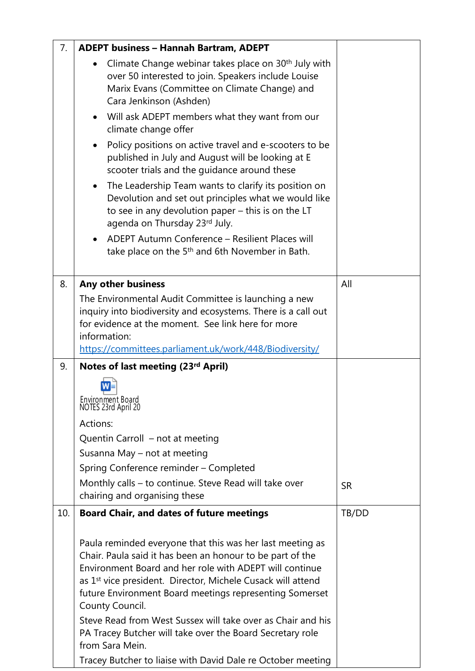| 7.  | <b>ADEPT business - Hannah Bartram, ADEPT</b>                                                                                                                                                                                                                                                                                                                                                                                                                                             |           |
|-----|-------------------------------------------------------------------------------------------------------------------------------------------------------------------------------------------------------------------------------------------------------------------------------------------------------------------------------------------------------------------------------------------------------------------------------------------------------------------------------------------|-----------|
|     | Climate Change webinar takes place on 30 <sup>th</sup> July with<br>over 50 interested to join. Speakers include Louise<br>Marix Evans (Committee on Climate Change) and<br>Cara Jenkinson (Ashden)                                                                                                                                                                                                                                                                                       |           |
|     | Will ask ADEPT members what they want from our<br>climate change offer                                                                                                                                                                                                                                                                                                                                                                                                                    |           |
|     | Policy positions on active travel and e-scooters to be<br>published in July and August will be looking at E<br>scooter trials and the guidance around these                                                                                                                                                                                                                                                                                                                               |           |
|     | The Leadership Team wants to clarify its position on<br>$\bullet$<br>Devolution and set out principles what we would like<br>to see in any devolution paper - this is on the LT<br>agenda on Thursday 23rd July.                                                                                                                                                                                                                                                                          |           |
|     | ADEPT Autumn Conference - Resilient Places will<br>take place on the 5 <sup>th</sup> and 6th November in Bath.                                                                                                                                                                                                                                                                                                                                                                            |           |
| 8.  | Any other business                                                                                                                                                                                                                                                                                                                                                                                                                                                                        | All       |
|     | The Environmental Audit Committee is launching a new<br>inquiry into biodiversity and ecosystems. There is a call out<br>for evidence at the moment. See link here for more<br>information:<br>https://committees.parliament.uk/work/448/Biodiversity/                                                                                                                                                                                                                                    |           |
| 9.  | Notes of last meeting (23rd April)                                                                                                                                                                                                                                                                                                                                                                                                                                                        |           |
|     |                                                                                                                                                                                                                                                                                                                                                                                                                                                                                           |           |
|     | Environment Board<br>NOTES 23rd April 20                                                                                                                                                                                                                                                                                                                                                                                                                                                  |           |
|     | Actions:                                                                                                                                                                                                                                                                                                                                                                                                                                                                                  |           |
|     | Quentin Carroll - not at meeting                                                                                                                                                                                                                                                                                                                                                                                                                                                          |           |
|     | Susanna May – not at meeting                                                                                                                                                                                                                                                                                                                                                                                                                                                              |           |
|     | Spring Conference reminder - Completed                                                                                                                                                                                                                                                                                                                                                                                                                                                    |           |
|     | Monthly calls – to continue. Steve Read will take over<br>chairing and organising these                                                                                                                                                                                                                                                                                                                                                                                                   | <b>SR</b> |
| 10. | <b>Board Chair, and dates of future meetings</b>                                                                                                                                                                                                                                                                                                                                                                                                                                          | TB/DD     |
|     | Paula reminded everyone that this was her last meeting as<br>Chair. Paula said it has been an honour to be part of the<br>Environment Board and her role with ADEPT will continue<br>as 1 <sup>st</sup> vice president. Director, Michele Cusack will attend<br>future Environment Board meetings representing Somerset<br>County Council.<br>Steve Read from West Sussex will take over as Chair and his<br>PA Tracey Butcher will take over the Board Secretary role<br>from Sara Mein. |           |
|     | Tracey Butcher to liaise with David Dale re October meeting                                                                                                                                                                                                                                                                                                                                                                                                                               |           |